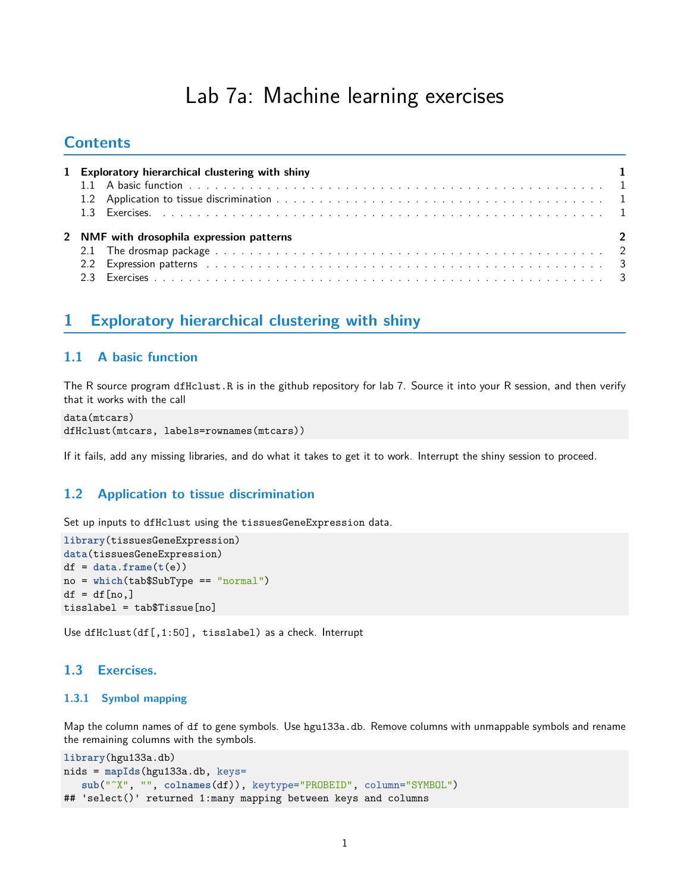# Lab 7a: Machine learning exercises

## **Contents**

| 1 Exploratory hierarchical clustering with shiny                                                               |                          |
|----------------------------------------------------------------------------------------------------------------|--------------------------|
|                                                                                                                |                          |
|                                                                                                                |                          |
|                                                                                                                |                          |
|                                                                                                                |                          |
| 2 NMF with drosophila expression patterns                                                                      |                          |
|                                                                                                                | $\overline{\phantom{0}}$ |
| 2.2 Expression patterns (and all and all and all and all and all and all and all and all and all and all and a |                          |

## <span id="page-0-0"></span>**1 Exploratory hierarchical clustering with shiny**

## <span id="page-0-1"></span>**1.1 A basic function**

The R source program dfHclust.R is in the github repository for lab 7. Source it into your R session, and then verify that it works with the call

```
data(mtcars)
dfHclust(mtcars, labels=rownames(mtcars))
```
If it fails, add any missing libraries, and do what it takes to get it to work. Interrupt the shiny session to proceed.

## <span id="page-0-2"></span>**1.2 Application to tissue discrimination**

Set up inputs to dfHclust using the tissuesGeneExpression data.

```
library(tissuesGeneExpression)
data(tissuesGeneExpression)
df = data-frame(t(e))no = which(tab$SubType == "normal")
df = df[no,]tisslabel = tab$Tissue[no]
```
Use dfHclust(df[,1:50], tisslabel) as a check. Interrupt

## <span id="page-0-3"></span>**1.3 Exercises.**

#### **1.3.1 Symbol mapping**

Map the column names of df to gene symbols. Use hgu133a.db. Remove columns with unmappable symbols and rename the remaining columns with the symbols.

```
library(hgu133a.db)
nids = mapIds(hgu133a.db, keys=
   sub("^X", "", colnames(df)), keytype="PROBEID", column="SYMBOL")
## 'select()' returned 1:many mapping between keys and columns
```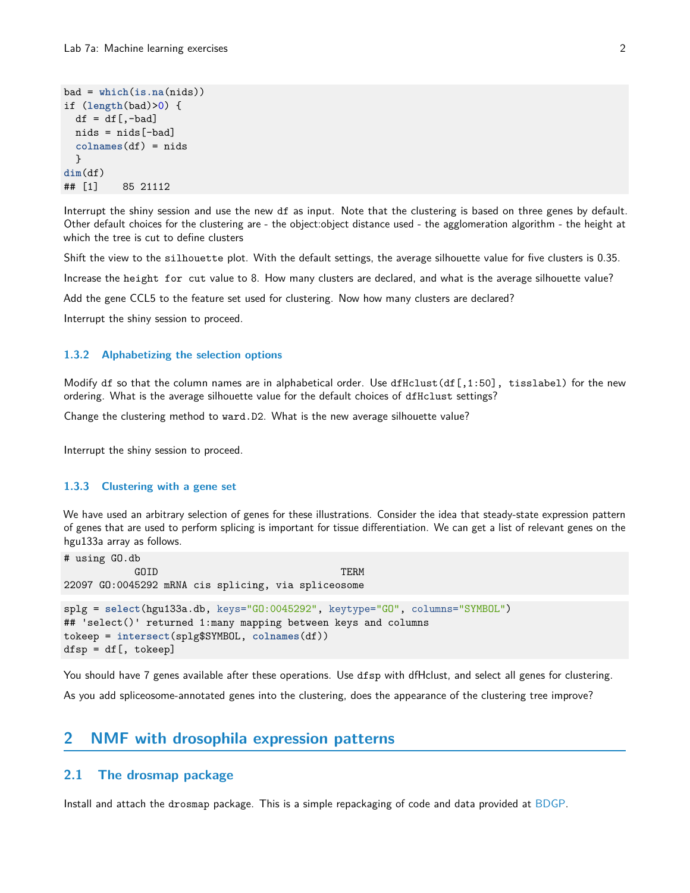```
bad = which(is.na(nids))
if (length(bad)>0) {
  df = df[, -bad]nids = nids[-bad]colnames(df) = nids
  }
dim(df)
## [1] 85 21112
```
Interrupt the shiny session and use the new df as input. Note that the clustering is based on three genes by default. Other default choices for the clustering are - the object:object distance used - the agglomeration algorithm - the height at which the tree is cut to define clusters

Shift the view to the silhouette plot. With the default settings, the average silhouette value for five clusters is 0.35.

Increase the height for cut value to 8. How many clusters are declared, and what is the average silhouette value?

Add the gene CCL5 to the feature set used for clustering. Now how many clusters are declared?

Interrupt the shiny session to proceed.

#### **1.3.2 Alphabetizing the selection options**

Modify df so that the column names are in alphabetical order. Use dfHclust(df[,1:50], tisslabel) for the new ordering. What is the average silhouette value for the default choices of dfHclust settings?

Change the clustering method to ward.D2. What is the new average silhouette value?

Interrupt the shiny session to proceed.

#### **1.3.3 Clustering with a gene set**

We have used an arbitrary selection of genes for these illustrations. Consider the idea that steady-state expression pattern of genes that are used to perform splicing is important for tissue differentiation. We can get a list of relevant genes on the hgu133a array as follows.

```
# using GO.db
           GOID TERM
22097 GO:0045292 mRNA cis splicing, via spliceosome
splg = select(hgu133a.db, keys="GO:0045292", keytype="GO", columns="SYMBOL")
## 'select()' returned 1:many mapping between keys and columns
tokeep = intersect(splg$SYMBOL, colnames(df))
dfsp = df[, tokeep]
```
You should have 7 genes available after these operations. Use dfsp with dfHclust, and select all genes for clustering. As you add spliceosome-annotated genes into the clustering, does the appearance of the clustering tree improve?

## <span id="page-1-0"></span>**2 NMF with drosophila expression patterns**

## <span id="page-1-1"></span>**2.1 The drosmap package**

Install and attach the drosmap package. This is a simple repackaging of code and data provided at [BDGP.](http://insitu.fruitfly.org/insitu-pp/prinPatCode.zip)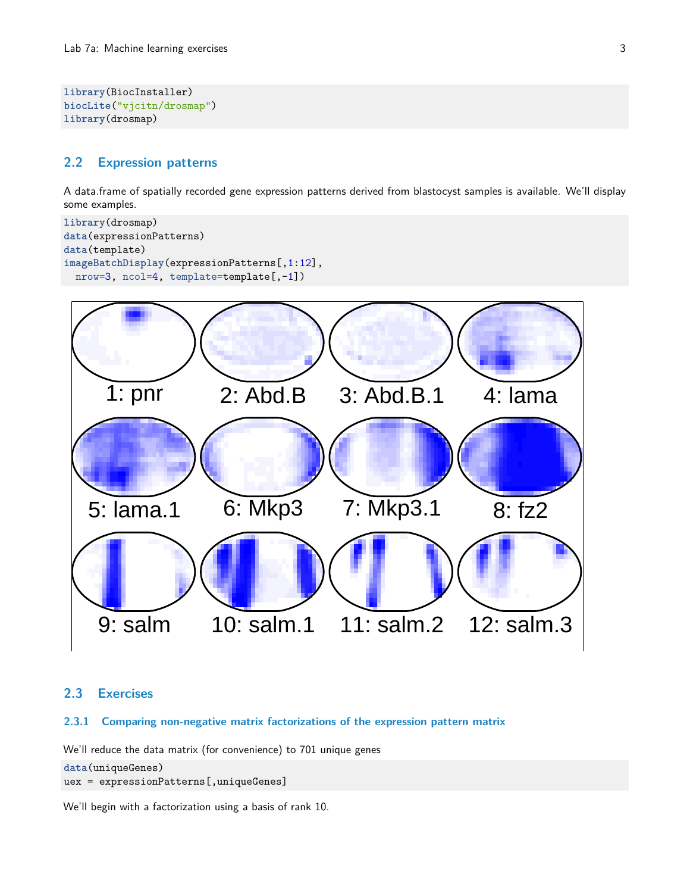```
library(BiocInstaller)
biocLite("vjcitn/drosmap")
library(drosmap)
```
## <span id="page-2-0"></span>**2.2 Expression patterns**

A data.frame of spatially recorded gene expression patterns derived from blastocyst samples is available. We'll display some examples.

```
library(drosmap)
data(expressionPatterns)
data(template)
imageBatchDisplay(expressionPatterns[,1:12],
  nrow=3, ncol=4, template=template[,-1])
```


## <span id="page-2-1"></span>**2.3 Exercises**

### **2.3.1 Comparing non-negative matrix factorizations of the expression pattern matrix**

We'll reduce the data matrix (for convenience) to 701 unique genes

```
data(uniqueGenes)
uex = expressionPatterns[,uniqueGenes]
```
We'll begin with a factorization using a basis of rank 10.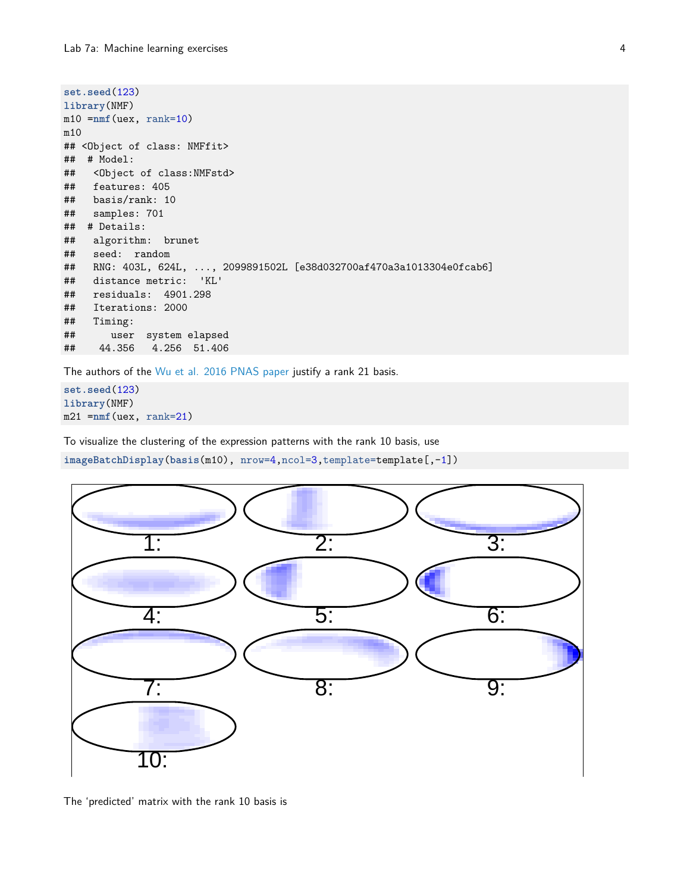```
set.seed(123)
library(NMF)
m10 =nmf(uex, rank=10)
m10
## <Object of class: NMFfit>
## # Model:
## <Object of class:NMFstd>
## features: 405
## basis/rank: 10
## samples: 701
## # Details:
## algorithm: brunet
## seed: random
## RNG: 403L, 624L, ..., 2099891502L [e38d032700af470a3a1013304e0fcab6]
## distance metric: 'KL'
## residuals: 4901.298
## Iterations: 2000
## Timing:
## user system elapsed
## 44.356 4.256 51.406
```
The authors of the [Wu et al. 2016 PNAS paper](http://www.pnas.org/content/113/16/4290.full) justify a rank 21 basis.

**set.seed**(123) **library**(NMF) m21 =**nmf**(uex, rank=21)

To visualize the clustering of the expression patterns with the rank 10 basis, use

**imageBatchDisplay**(**basis**(m10), nrow=4,ncol=3,template=template[,-1])



The 'predicted' matrix with the rank 10 basis is